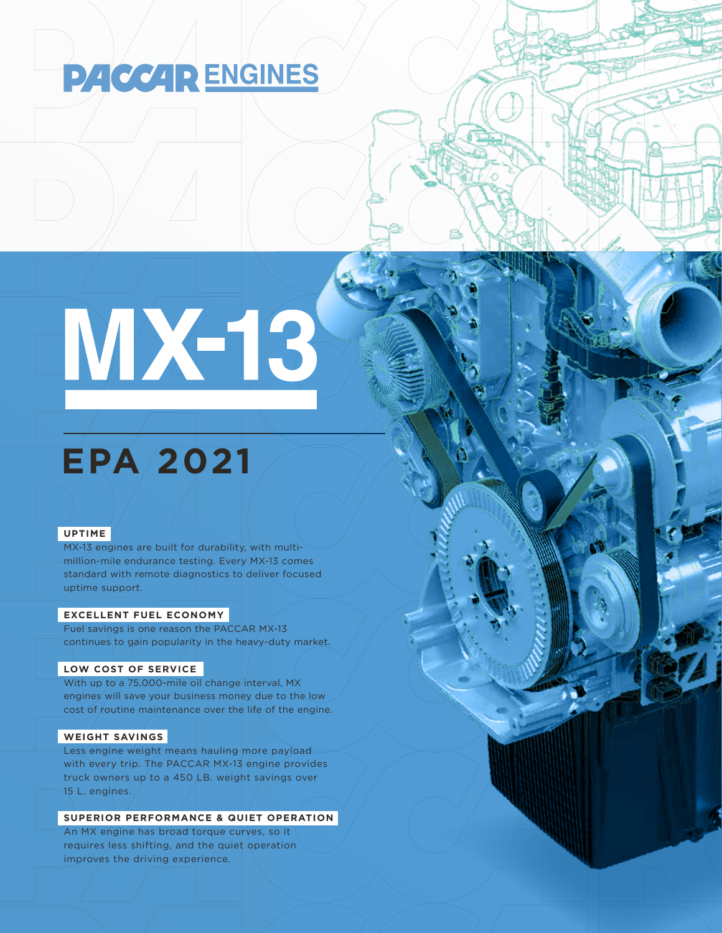# **PACCAR ENGINES**

MX-13

# **EPA 2021**

### **UPTIME**

MX-13 engines are built for durability, with multimillion-mile endurance testing. Every MX-13 comes standard with remote diagnostics to deliver focused uptime support.

#### **EXCELLENT FUEL ECONOMY**

Fuel savings is one reason the PACCAR MX-13 continues to gain popularity in the heavy-duty market.

#### **LOW COST OF SERVICE**

With up to a 75,000-mile oil change interval, MX engines will save your business money due to the low cost of routine maintenance over the life of the engine.

#### **WEIGHT SAVINGS**

Less engine weight means hauling more payload with every trip. The PACCAR MX-13 engine provides truck owners up to a 450 LB. weight savings over  $15$  L. engines.  $\overline{a}$ 

## **SUPERIOR PERFORMANCE & QUIET OPERATION**

An MX engine has broad torque curves, so it requires less shifting, and the quiet operation improves the driving experience.